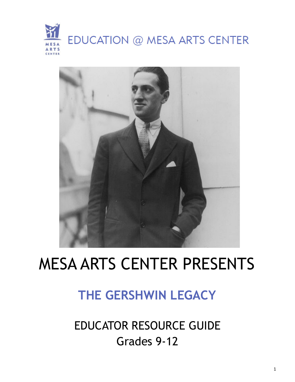



# MESA ARTS CENTER PRESENTS

## **THE GERSHWIN LEGACY**

EDUCATOR RESOURCE GUIDE Grades 9-12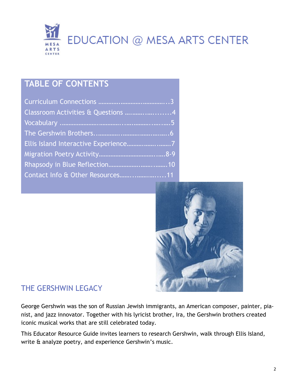

### **TABLE OF CONTENTS**

| Classroom Activities & Questions 4 |
|------------------------------------|
|                                    |
|                                    |
|                                    |
|                                    |
|                                    |
|                                    |



#### THE GERSHWIN LEGACY

George Gershwin was the son of Russian Jewish immigrants, an American composer, painter, pianist, and jazz innovator. Together with his lyricist brother, Ira, the Gershwin brothers created iconic musical works that are still celebrated today.

This Educator Resource Guide invites learners to research Gershwin, walk through Ellis Island, write & analyze poetry, and experience Gershwin's music.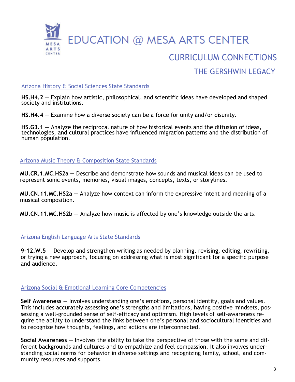

### CURRICULUM CONNECTIONS THE GERSHWIN LEGACY

#### Arizona History & Social Sciences State Standards

**HS.H4.2** — Explain how artistic, philosophical, and scientific ideas have developed and shaped society and institutions.

**HS.H4.4** — Examine how a diverse society can be a force for unity and/or disunity.

**HS.G3.1** — Analyze the reciprocal nature of how historical events and the diffusion of ideas, technologies, and cultural practices have influenced migration patterns and the distribution of human population.

Arizona Music Theory & Composition State Standards

**MU.CR.1.MC.HS2a —** Describe and demonstrate how sounds and musical ideas can be used to represent sonic events, memories, visual images, concepts, texts, or storylines.

**MU.CN.11.MC.HS2a —** Analyze how context can inform the expressive intent and meaning of a musical composition.

**MU.CN.11.MC.HS2b —** Analyze how music is affected by one's knowledge outside the arts.

#### Arizona English Language Arts State Standards

**9-12.W.5** — Develop and strengthen writing as needed by planning, revising, editing, rewriting, or trying a new approach, focusing on addressing what is most significant for a specific purpose and audience.

#### Arizona Social & Emotional Learning Core Competencies

**Self Awareness** — Involves understanding one's emotions, personal identity, goals and values. This includes accurately assessing one's strengths and limitations, having positive mindsets, possessing a well-grounded sense of self-efficacy and optimism. High levels of self-awareness require the ability to understand the links between one's personal and sociocultural identities and to recognize how thoughts, feelings, and actions are interconnected.

**Social Awareness** — Involves the ability to take the perspective of those with the same and different backgrounds and cultures and to empathize and feel compassion. It also involves understanding social norms for behavior in diverse settings and recognizing family, school, and community resources and supports.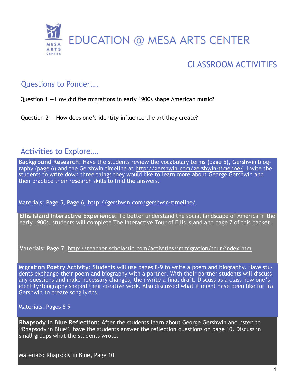

### CLASSROOM ACTIVITIES

#### Questions to Ponder….

Question 1 — How did the migrations in early 1900s shape American music?

Question  $2 -$  How does one's identity influence the art they create?

#### Activities to Explore….

**Background Research**: Have the students review the vocabulary terms (page 5), Gershwin biography (page 6) and the Gershwin timeline at [http://gershwin.com/gershwin](http://gershwin.com/gershwin-timeline/)-timeline/. Invite the students to write down three things they would like to learn more about George Gershwin and then practice their research skills to find the answers.

Materials: Page 5, Page 6, [http://gershwin.com/gershwin](http://gershwin.com/gershwin-timeline/)-timeline/

**Ellis Island Interactive Experience**: To better understand the social landscape of America in the early 1900s, students will complete The Interactive Tour of Ellis Island and page 7 of this packet.

Materials: Page 7, <http://teacher.scholastic.com/activities/immigration/tour/index.htm>

**Migration Poetry Activity:** Students will use pages 8-9 to write a poem and biography. Have students exchange their poem and biography with a partner. With their partner students will discuss any questions and make necessary changes, then write a final draft. Discuss as a class how one's identity/biography shaped their creative work. Also discussed what it might have been like for Ira Gershwin to create song lyrics.

Materials: Pages 8-9

**Rhapsody in Blue Reflection**: After the students learn about George Gershwin and listen to "Rhapsody in Blue", have the students answer the reflection questions on page 10. Discuss in small groups what the students wrote.

Materials: Rhapsody in Blue, Page 10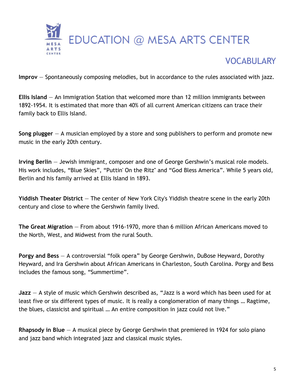

### **VOCABULARY**

**Improv** — Spontaneously composing melodies, but in accordance to the rules associated with jazz.

**Ellis Island** — An Immigration Station that welcomed more than 12 million immigrants between 1892-1954. It is estimated that more than 40% of all current American citizens can trace their family back to Ellis Island.

**Song plugger** — A musician employed by a store and song publishers to perform and promote new music in the early 20th century.

**Irving Berlin** — Jewish immigrant, composer and one of George Gershwin's musical role models. His work includes, "Blue Skies", "Puttin' On the Ritz" and "God Bless America". While 5 years old, Berlin and his family arrived at Ellis Island in 1893.

**Yiddish Theater District** — The center of New York City's Yiddish theatre scene in the early 20th century and close to where the Gershwin family lived.

**The Great Migration** — From about 1916-1970, more than 6 million African Americans moved to the North, West, and Midwest from the rural South.

**Porgy and Bess** — A controversial "folk opera" by George Gershwin, DuBose Heyward, Dorothy Heyward, and Ira Gershwin about African Americans in Charleston, South Carolina. Porgy and Bess includes the famous song, "Summertime".

**Jazz** — A style of music which Gershwin described as, "Jazz is a word which has been used for at least five or six different types of music. It is really a conglomeration of many things … Ragtime, the blues, classicist and spiritual … An entire composition in jazz could not live."

**Rhapsody in Blue** — A musical piece by George Gershwin that premiered in 1924 for solo piano and jazz band which integrated jazz and classical music styles.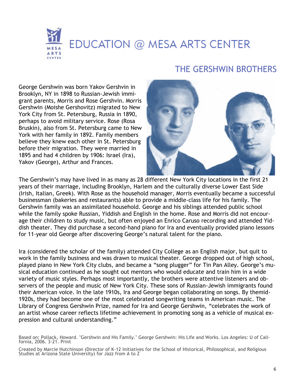### EDUCATION @ MESA ARTS CENTER **ARTS** CENTER

### THE GERSHWIN BROTHERS

George Gershwin was born Yakov Gershvin in Brooklyn, NY in 1898 to Russian-Jewish immigrant parents, Morris and Rose Gershvin. Morris Gershwin (Moishe Gershovitz) migrated to New York City from St. Petersburg, Russia in 1890, perhaps to avoid military service. Rose (Rosa Bruskin), also from St. Petersburg came to New York with her family in 1892. Family members believe they knew each other in St. Petersburg before their migration. They were married in 1895 and had 4 children by 1906: Israel (Ira), Yakov (George), Arthur and Frances.



The Gershwin's may have lived in as many as 28 different New York City locations in the first 21 years of their marriage, including Brooklyn, Harlem and the culturally diverse Lower East Side (Irish, Italian, Greek). With Rose as the household manager, Morris eventually became a successful businessman (bakeries and restaurants) able to provide a middle-class life for his family. The Gershwin family was an assimilated household. George and his siblings attended public school while the family spoke Russian, Yiddish and English in the home. Rose and Morris did not encourage their children to study music, but often enjoyed an Enrico Caruso recording and attended Yiddish theater. They did purchase a second-hand piano for Ira and eventually provided piano lessons for 11-year old George after discovering George's natural talent for the piano.

Ira (considered the scholar of the family) attended City College as an English major, but quit to work in the family business and was drawn to musical theater. George dropped out of high school, played piano in New York City clubs, and became a "song plugger" for Tin Pan Alley. George's musical education continued as he sought out mentors who would educate and train him in a wide variety of music styles. Perhaps most importantly, the brothers were attentive listeners and observers of the people and music of New York City. These sons of Russian-Jewish immigrants found their American voice. In the late 1910s, Ira and George began collaborating on songs. By themid-1920s, they had become one of the most celebrated songwriting teams in American music. The Library of Congress Gershwin Prize, named for Ira and George Gershwin, "celebrates the work of an artist whose career reflects lifetime achievement in promoting song as a vehicle of musical expression and cultural understanding."

Created by Marcie Hutchinson (Director of K-12 Initiatives for the School of Historical, Philosophical, and Religious Studies at Arizona State University) for Jazz from A to Z

Based on: Pollack, Howard. "Gershwin and His Family." George Gershwin: His Life and Works. Los Angeles: U of California, 2006. 3-21. Print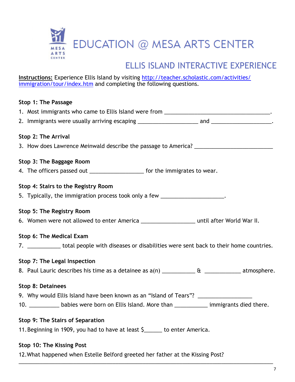

#### ELLIC ICLAND INTEDACTIVE EVDEDIENCE ELLIS ISLAND INTERACTIVE EXPERIENCE

**Instructions:** Experience Ellis Island by visiting [http://teacher.scholastic.com/activities/](http://teacher.scholastic.com/activities/immigration/tour/index.htm) [immigration/tour/index.htm](http://teacher.scholastic.com/activities/immigration/tour/index.htm) and completing the following questions.

### **Stop 1: The Passage**  1. Most immigrants who came to Ellis Island were from \_\_\_\_\_\_\_\_\_\_\_\_\_\_\_\_\_\_\_\_\_\_\_\_\_\_ 2. Immigrants were usually arriving escaping \_\_\_\_\_\_\_\_\_\_\_\_\_\_\_\_\_\_\_\_ and \_\_\_\_\_\_\_\_\_\_\_\_\_\_\_\_\_\_\_\_. **Stop 2: The Arrival**  3. How does Lawrence Meinwald describe the passage to America? \_\_\_\_\_\_\_\_\_\_\_\_\_\_\_\_\_ **Stop 3: The Baggage Room**  4. The officers passed out \_\_\_\_\_\_\_\_\_\_\_\_\_\_\_\_\_\_\_\_\_ for the immigrates to wear. **Stop 4: Stairs to the Registry Room** 5. Typically, the immigration process took only a few \_\_\_\_\_\_\_\_\_\_\_\_\_\_\_\_\_\_\_\_\_. **Stop 5: The Registry Room**  6. Women were not allowed to enter America \_\_\_\_\_\_\_\_\_\_\_\_\_\_\_\_\_\_ until after World War II. **Stop 6: The Medical Exam**  7. \_\_\_\_\_\_\_\_\_\_\_ total people with diseases or disabilities were sent back to their home countries. **Stop 7: The Legal Inspection**  8. Paul Lauric describes his time as a detainee as a(n) \_\_\_\_\_\_\_\_\_\_\_ & \_\_\_\_\_\_\_\_\_\_\_\_ atmosphere. **Stop 8: Detainees** 9. Why would Ellis Island have been known as an "Island of Tears"? 10. \_\_\_\_\_\_\_\_\_\_\_\_\_ babies were born on Ellis Island. More than \_\_\_\_\_\_\_\_\_\_\_\_\_ immigrants died there. **Stop 9: The Stairs of Separation**  11.Beginning in 1909, you had to have at least \$\_\_\_\_\_\_ to enter America. **Stop 10: The Kissing Post**

12.What happened when Estelle Belford greeted her father at the Kissing Post?

\_\_\_\_\_\_\_\_\_\_\_\_\_\_\_\_\_\_\_\_\_\_\_\_\_\_\_\_\_\_\_\_\_\_\_\_\_\_\_\_\_\_\_\_\_\_\_\_\_\_\_\_\_\_\_\_\_\_\_\_\_\_\_\_\_\_\_\_\_\_\_\_\_\_\_\_\_\_\_\_\_\_\_\_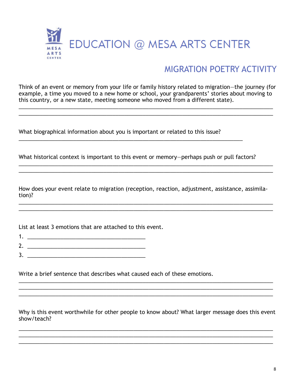

#### MIGRATION POETRY ACTIVITY

Think of an event or memory from your life or family history related to migration—the journey (for example, a time you moved to a new home or school, your grandparents' stories about moving to this country, or a new state, meeting someone who moved from a different state).

\_\_\_\_\_\_\_\_\_\_\_\_\_\_\_\_\_\_\_\_\_\_\_\_\_\_\_\_\_\_\_\_\_\_\_\_\_\_\_\_\_\_\_\_\_\_\_\_\_\_\_\_\_\_\_\_\_\_\_\_\_\_\_\_\_\_\_\_\_\_\_\_\_\_\_\_\_\_\_\_\_\_\_\_ \_\_\_\_\_\_\_\_\_\_\_\_\_\_\_\_\_\_\_\_\_\_\_\_\_\_\_\_\_\_\_\_\_\_\_\_\_\_\_\_\_\_\_\_\_\_\_\_\_\_\_\_\_\_\_\_\_\_\_\_\_\_\_\_\_\_\_\_\_\_\_\_\_\_\_\_\_\_\_\_\_\_\_\_

What biographical information about you is important or related to this issue?

What historical context is important to this event or memory—perhaps push or pull factors?

How does your event relate to migration (reception, reaction, adjustment, assistance, assimilation)?

\_\_\_\_\_\_\_\_\_\_\_\_\_\_\_\_\_\_\_\_\_\_\_\_\_\_\_\_\_\_\_\_\_\_\_\_\_\_\_\_\_\_\_\_\_\_\_\_\_\_\_\_\_\_\_\_\_\_\_\_\_\_\_\_\_\_\_\_\_\_\_\_\_\_\_\_\_\_\_\_\_\_\_\_ \_\_\_\_\_\_\_\_\_\_\_\_\_\_\_\_\_\_\_\_\_\_\_\_\_\_\_\_\_\_\_\_\_\_\_\_\_\_\_\_\_\_\_\_\_\_\_\_\_\_\_\_\_\_\_\_\_\_\_\_\_\_\_\_\_\_\_\_\_\_\_\_\_\_\_\_\_\_\_\_\_\_\_\_

\_\_\_\_\_\_\_\_\_\_\_\_\_\_\_\_\_\_\_\_\_\_\_\_\_\_\_\_\_\_\_\_\_\_\_\_\_\_\_\_\_\_\_\_\_\_\_\_\_\_\_\_\_\_\_\_\_\_\_\_\_\_\_\_\_\_\_\_\_\_\_\_\_\_\_\_\_\_\_\_\_\_\_\_

List at least 3 emotions that are attached to this event.

- 1. \_\_\_\_\_\_\_\_\_\_\_\_\_\_\_\_\_\_\_\_\_\_\_\_\_\_\_\_\_\_\_\_\_\_\_\_\_\_\_
- 2. \_\_\_\_\_\_\_\_\_\_\_\_\_\_\_\_\_\_\_\_\_\_\_\_\_\_\_\_\_\_\_\_\_\_\_\_\_\_\_
- $3.$

Write a brief sentence that describes what caused each of these emotions.

Why is this event worthwhile for other people to know about? What larger message does this event show/teach?

\_\_\_\_\_\_\_\_\_\_\_\_\_\_\_\_\_\_\_\_\_\_\_\_\_\_\_\_\_\_\_\_\_\_\_\_\_\_\_\_\_\_\_\_\_\_\_\_\_\_\_\_\_\_\_\_\_\_\_\_\_\_\_\_\_\_\_\_\_\_\_\_\_\_\_\_\_\_\_\_\_\_\_\_

\_\_\_\_\_\_\_\_\_\_\_\_\_\_\_\_\_\_\_\_\_\_\_\_\_\_\_\_\_\_\_\_\_\_\_\_\_\_\_\_\_\_\_\_\_\_\_\_\_\_\_\_\_\_\_\_\_\_\_\_\_\_\_\_\_\_\_\_\_\_\_\_\_\_\_\_\_\_\_\_\_\_\_\_

\_\_\_\_\_\_\_\_\_\_\_\_\_\_\_\_\_\_\_\_\_\_\_\_\_\_\_\_\_\_\_\_\_\_\_\_\_\_\_\_\_\_\_\_\_\_\_\_\_\_\_\_\_\_\_\_\_\_\_\_\_\_\_\_\_\_\_\_\_\_\_\_\_\_\_\_\_\_\_\_\_\_\_\_ \_\_\_\_\_\_\_\_\_\_\_\_\_\_\_\_\_\_\_\_\_\_\_\_\_\_\_\_\_\_\_\_\_\_\_\_\_\_\_\_\_\_\_\_\_\_\_\_\_\_\_\_\_\_\_\_\_\_\_\_\_\_\_\_\_\_\_\_\_\_\_\_\_\_\_\_\_\_\_\_\_\_\_\_ \_\_\_\_\_\_\_\_\_\_\_\_\_\_\_\_\_\_\_\_\_\_\_\_\_\_\_\_\_\_\_\_\_\_\_\_\_\_\_\_\_\_\_\_\_\_\_\_\_\_\_\_\_\_\_\_\_\_\_\_\_\_\_\_\_\_\_\_\_\_\_\_\_\_\_\_\_\_\_\_\_\_\_\_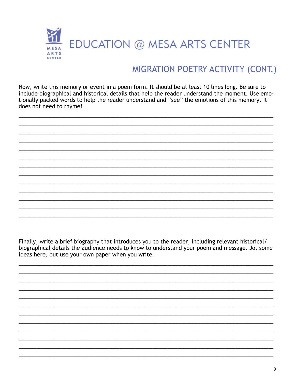

#### MIGRATION POETRY ACTIVITY (CONT.)

Now, write this memory or event in a poem form. It should be at least 10 lines long. Be sure to include biographical and historical details that help the reader understand the moment. Use emotionally packed words to help the reader understand and "see" the emotions of this memory. It does not need to rhyme!

Finally, write a brief biography that introduces you to the reader, including relevant historical/ biographical details the audience needs to know to understand your poem and message. Jot some ideas here, but use your own paper when you write.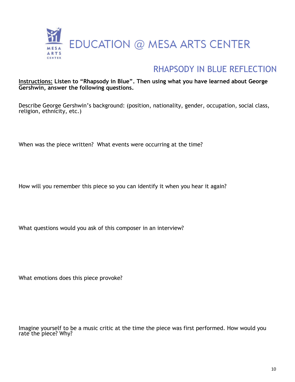

#### RHAPSODY IN BLUE REFLECTION

#### **Instructions: Listen to "Rhapsody in Blue". Then using what you have learned about George Gershwin, answer the following questions.**

Describe George Gershwin's background: (position, nationality, gender, occupation, social class, religion, ethnicity, etc.)

When was the piece written? What events were occurring at the time?

How will you remember this piece so you can identify it when you hear it again?

What questions would you ask of this composer in an interview?

What emotions does this piece provoke?

Imagine yourself to be a music critic at the time the piece was first performed. How would you rate the piece? Why?